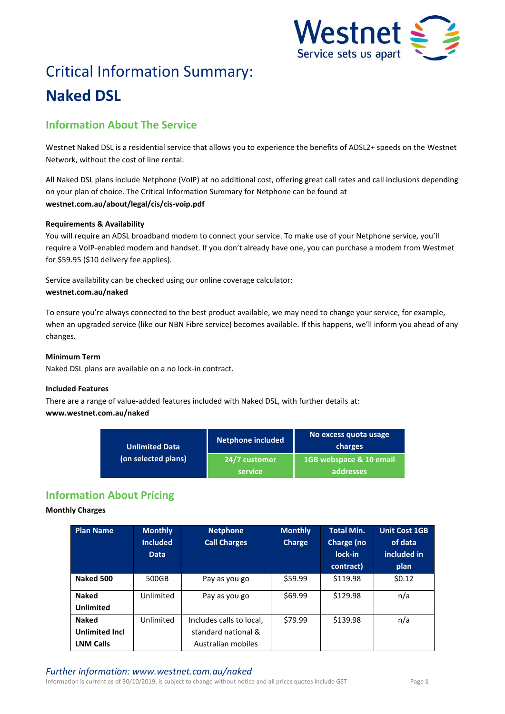

# Critical Information Summary: **Naked DSL**

# **Information About The Service**

Westnet Naked DSL is a residential service that allows you to experience the benefits of ADSL2+ speeds on the Westnet Network, without the cost of line rental.

All Naked DSL plans include Netphone (VoIP) at no additional cost, offering great call rates and call inclusions depending on your plan of choice. The Critical Information Summary for Netphone can be found at **westnet.com.au/about/legal/cis/cis-voip.pdf**

## **Requirements & Availability**

You will require an ADSL broadband modem to connect your service. To make use of your Netphone service, you'll require a VoIP-enabled modem and handset. If you don't already have one, you can purchase a modem from Westmet for \$59.95 (\$10 delivery fee applies).

Service availability can be checked using our online coverage calculator: **westnet.com.au/naked**

To ensure you're always connected to the best product available, we may need to change your service, for example, when an upgraded service (like our NBN Fibre service) becomes available. If this happens, we'll inform you ahead of any changes.

## **Minimum Term**

Naked DSL plans are available on a no lock-in contract.

## **Included Features**

There are a range of value-added features included with Naked DSL, with further details at: **www.westnet.com.au/naked**

| Unlimited Data<br>(on selected plans) | <b>Netphone included</b> | No excess quota usage<br>charges     |  |
|---------------------------------------|--------------------------|--------------------------------------|--|
|                                       | 24/7 customer<br>service | 1GB webspace & 10 email<br>addresses |  |

# **Information About Pricing**

## **Monthly Charges**

| <b>Plan Name</b>                 | <b>Monthly</b><br><b>Included</b><br><b>Data</b> | <b>Netphone</b><br><b>Call Charges</b> | <b>Monthly</b><br><b>Charge</b> | <b>Total Min.</b><br>Charge (no<br>lock-in<br>contract) | <b>Unit Cost 1GB</b><br>of data<br>included in<br>plan |
|----------------------------------|--------------------------------------------------|----------------------------------------|---------------------------------|---------------------------------------------------------|--------------------------------------------------------|
| Naked 500                        | 500GB                                            | Pay as you go                          | \$59.99                         | \$119.98                                                | \$0.12                                                 |
| <b>Naked</b><br><b>Unlimited</b> | Unlimited                                        | Pay as you go                          | \$69.99                         | \$129.98                                                | n/a                                                    |
| <b>Naked</b>                     | Unlimited                                        | Includes calls to local,               | \$79.99                         | \$139.98                                                | n/a                                                    |
| <b>Unlimited Incl</b>            |                                                  | standard national &                    |                                 |                                                         |                                                        |
| <b>LNM Calls</b>                 |                                                  | Australian mobiles                     |                                 |                                                         |                                                        |